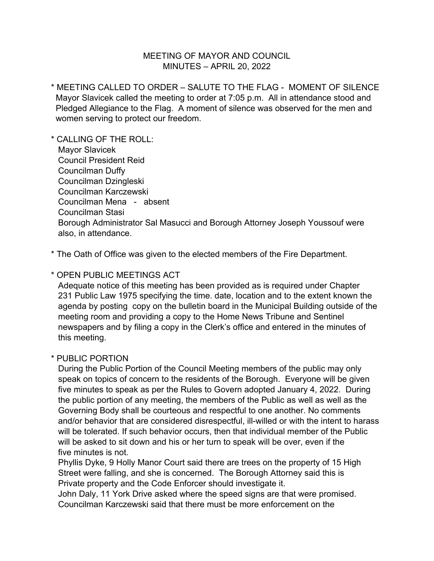## MEETING OF MAYOR AND COUNCIL MINUTES – APRIL 20, 2022

\* MEETING CALLED TO ORDER – SALUTE TO THE FLAG - MOMENT OF SILENCE Mayor Slavicek called the meeting to order at 7:05 p.m. All in attendance stood and Pledged Allegiance to the Flag. A moment of silence was observed for the men and women serving to protect our freedom.

\* CALLING OF THE ROLL: Mayor Slavicek Council President Reid Councilman Duffy Councilman Dzingleski Councilman Karczewski Councilman Mena - absent Councilman Stasi Borough Administrator Sal Masucci and Borough Attorney Joseph Youssouf were also, in attendance.

\* The Oath of Office was given to the elected members of the Fire Department.

## \* OPEN PUBLIC MEETINGS ACT

 Adequate notice of this meeting has been provided as is required under Chapter 231 Public Law 1975 specifying the time. date, location and to the extent known the agenda by posting copy on the bulletin board in the Municipal Building outside of the meeting room and providing a copy to the Home News Tribune and Sentinel newspapers and by filing a copy in the Clerk's office and entered in the minutes of this meeting.

## \* PUBLIC PORTION

 During the Public Portion of the Council Meeting members of the public may only speak on topics of concern to the residents of the Borough. Everyone will be given five minutes to speak as per the Rules to Govern adopted January 4, 2022. During the public portion of any meeting, the members of the Public as well as well as the Governing Body shall be courteous and respectful to one another. No comments and/or behavior that are considered disrespectful, ill-willed or with the intent to harass will be tolerated. If such behavior occurs, then that individual member of the Public will be asked to sit down and his or her turn to speak will be over, even if the five minutes is not.

 Phyllis Dyke, 9 Holly Manor Court said there are trees on the property of 15 High Street were falling, and she is concerned. The Borough Attorney said this is Private property and the Code Enforcer should investigate it.

 John Daly, 11 York Drive asked where the speed signs are that were promised. Councilman Karczewski said that there must be more enforcement on the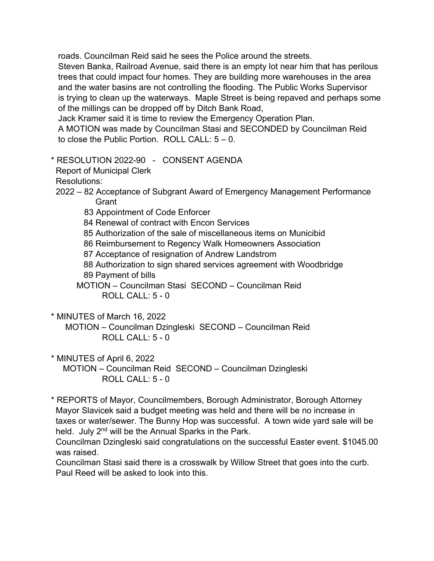roads. Councilman Reid said he sees the Police around the streets.

 Steven Banka, Railroad Avenue, said there is an empty lot near him that has perilous trees that could impact four homes. They are building more warehouses in the area and the water basins are not controlling the flooding. The Public Works Supervisor is trying to clean up the waterways. Maple Street is being repaved and perhaps some of the millings can be dropped off by Ditch Bank Road,

Jack Kramer said it is time to review the Emergency Operation Plan.

 A MOTION was made by Councilman Stasi and SECONDED by Councilman Reid to close the Public Portion. ROLL CALL: 5 – 0.

## \* RESOLUTION 2022-90 - CONSENT AGENDA

Report of Municipal Clerk

Resolutions:

- 2022 82 Acceptance of Subgrant Award of Emergency Management Performance **Grant** 
	- 83 Appointment of Code Enforcer
	- 84 Renewal of contract with Encon Services
	- 85 Authorization of the sale of miscellaneous items on Municibid
	- 86 Reimbursement to Regency Walk Homeowners Association
	- 87 Acceptance of resignation of Andrew Landstrom
	- 88 Authorization to sign shared services agreement with Woodbridge 89 Payment of bills
	- MOTION Councilman Stasi SECOND Councilman Reid  $ROILCAIL: 5 - 0$

\* MINUTES of March 16, 2022

 MOTION – Councilman Dzingleski SECOND – Councilman Reid ROLL CALL: 5 - 0

\* MINUTES of April 6, 2022

 MOTION – Councilman Reid SECOND – Councilman Dzingleski  $ROILCAIL: 5 - 0$ 

\* REPORTS of Mayor, Councilmembers, Borough Administrator, Borough Attorney Mayor Slavicek said a budget meeting was held and there will be no increase in taxes or water/sewer. The Bunny Hop was successful. A town wide yard sale will be held. July 2<sup>nd</sup> will be the Annual Sparks in the Park.

 Councilman Dzingleski said congratulations on the successful Easter event. \$1045.00 was raised.

 Councilman Stasi said there is a crosswalk by Willow Street that goes into the curb. Paul Reed will be asked to look into this.